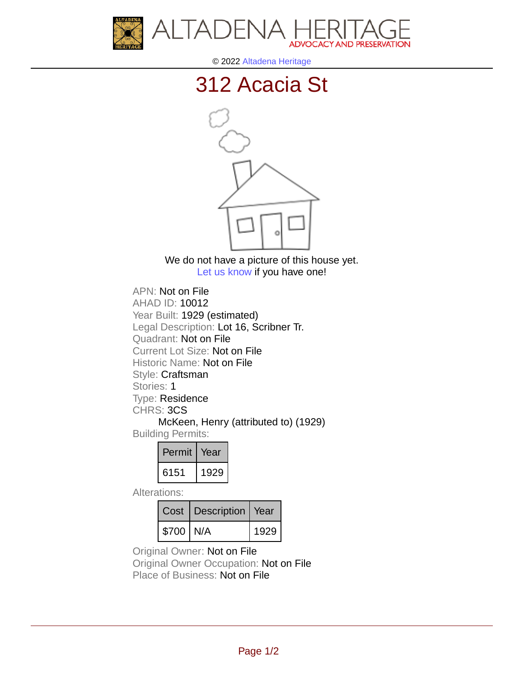



© 2022 [Altadena Heritage](http://altadenaheritage.org/)

## [312 Acacia St](ahad.altadenaheritagepdb.org/properties/10012)



We do not have a picture of this house yet. [Let us know](http://altadenaheritage.org/contact-us/) if you have one!

APN: Not on File [AHAD ID: 10012](ahad.altadenaheritagepdb.org/properties/10012) Year Built: 1929 (estimated) Legal Description: Lot 16, Scribner Tr. Quadrant: Not on File Current Lot Size: Not on File Historic Name: Not on File Style: Craftsman Stories: 1 Type: Residence CHRS: 3CS McKeen, Henry (attributed to) (1929) Building Permits:

| Permit | Year |
|--------|------|
| 6151   | 1929 |

Alterations:

|           | Cost   Description   Year |      |
|-----------|---------------------------|------|
| \$700 N/A |                           | 1929 |

Original Owner: Not on File

Original Owner Occupation: Not on File Place of Business: Not on File